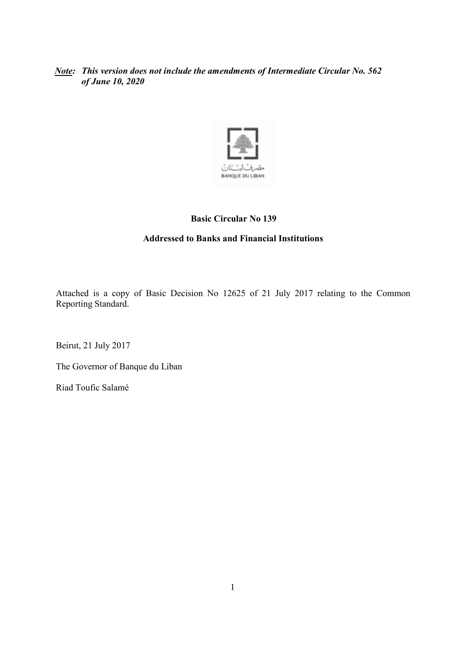## *Note: This version does not include the amendments of Intermediate Circular No. 562 of June 10, 2020*



# **Basic Circular No 139**

# **Addressed to Banks and Financial Institutions**

Attached is a copy of Basic Decision No 12625 of 21 July 2017 relating to the Common Reporting Standard.

Beirut, 21 July 2017

The Governor of Banque du Liban

Riad Toufic Salamé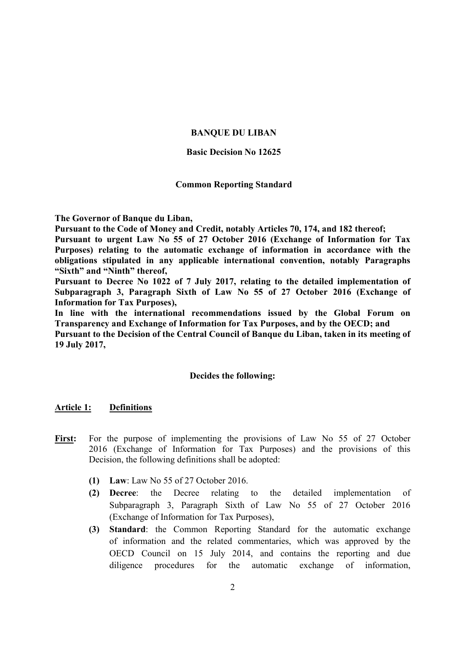## **BANQUE DU LIBAN**

### **Basic Decision No 12625**

### **Common Reporting Standard**

**The Governor of Banque du Liban,** 

**Pursuant to the Code of Money and Credit, notably Articles 70, 174, and 182 thereof;** 

**Pursuant to urgent Law No 55 of 27 October 2016 (Exchange of Information for Tax Purposes) relating to the automatic exchange of information in accordance with the obligations stipulated in any applicable international convention, notably Paragraphs "Sixth" and "Ninth" thereof,** 

**Pursuant to Decree No 1022 of 7 July 2017, relating to the detailed implementation of Subparagraph 3, Paragraph Sixth of Law No 55 of 27 October 2016 (Exchange of Information for Tax Purposes),** 

**In line with the international recommendations issued by the Global Forum on Transparency and Exchange of Information for Tax Purposes, and by the OECD; and** 

**Pursuant to the Decision of the Central Council of Banque du Liban, taken in its meeting of 19 July 2017,** 

### **Decides the following:**

#### **Article 1: Definitions**

- **First:** For the purpose of implementing the provisions of Law No 55 of 27 October 2016 (Exchange of Information for Tax Purposes) and the provisions of this Decision, the following definitions shall be adopted:
	- **(1) Law**: Law No 55 of 27 October 2016.
	- **(2) Decree**: the Decree relating to the detailed implementation of Subparagraph 3, Paragraph Sixth of Law No 55 of 27 October 2016 (Exchange of Information for Tax Purposes),
	- **(3) Standard**: the Common Reporting Standard for the automatic exchange of information and the related commentaries, which was approved by the OECD Council on 15 July 2014, and contains the reporting and due diligence procedures for the automatic exchange of information,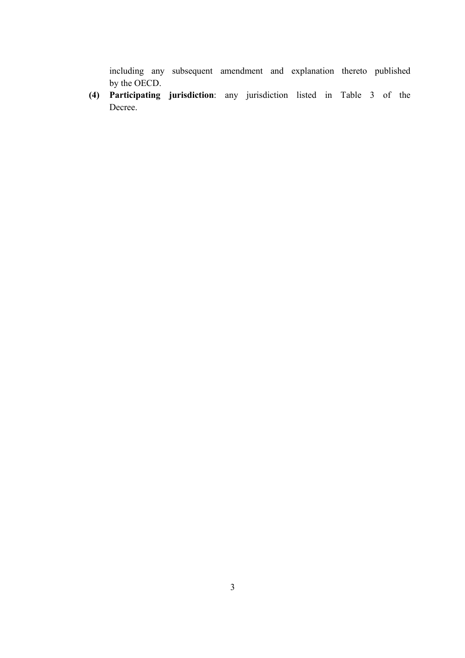including any subsequent amendment and explanation thereto published by the OECD.

**(4) Participating jurisdiction**: any jurisdiction listed in Table 3 of the Decree.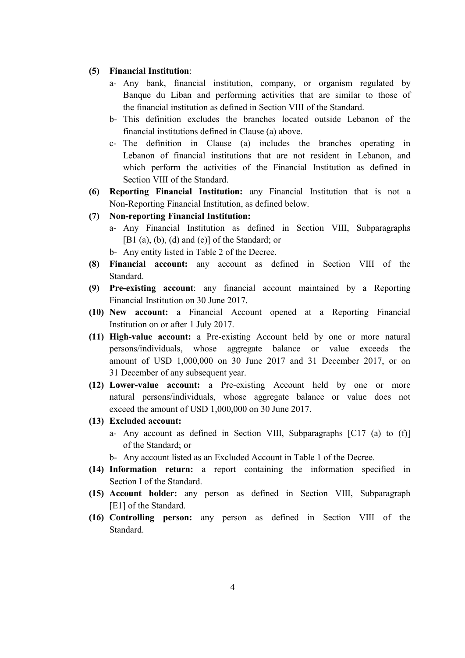#### **(5) Financial Institution**:

- a- Any bank, financial institution, company, or organism regulated by Banque du Liban and performing activities that are similar to those of the financial institution as defined in Section VIII of the Standard.
- b- This definition excludes the branches located outside Lebanon of the financial institutions defined in Clause (a) above.
- c- The definition in Clause (a) includes the branches operating in Lebanon of financial institutions that are not resident in Lebanon, and which perform the activities of the Financial Institution as defined in Section VIII of the Standard.
- **(6) Reporting Financial Institution:** any Financial Institution that is not a Non-Reporting Financial Institution, as defined below.
- **(7) Non-reporting Financial Institution:** 
	- a- Any Financial Institution as defined in Section VIII, Subparagraphs [B1 (a), (b), (d) and (e)] of the Standard; or
		- b- Any entity listed in Table 2 of the Decree.
- **(8) Financial account:** any account as defined in Section VIII of the Standard.
- **(9) Pre-existing account**: any financial account maintained by a Reporting Financial Institution on 30 June 2017.
- **(10) New account:** a Financial Account opened at a Reporting Financial Institution on or after 1 July 2017.
- **(11) High-value account:** a Pre-existing Account held by one or more natural persons/individuals, whose aggregate balance or value exceeds the amount of USD 1,000,000 on 30 June 2017 and 31 December 2017, or on 31 December of any subsequent year.
- **(12) Lower-value account:** a Pre-existing Account held by one or more natural persons/individuals, whose aggregate balance or value does not exceed the amount of USD 1,000,000 on 30 June 2017.
- **(13) Excluded account:** 
	- a- Any account as defined in Section VIII, Subparagraphs [C17 (a) to (f)] of the Standard; or
	- b- Any account listed as an Excluded Account in Table 1 of the Decree.
- **(14) Information return:** a report containing the information specified in Section I of the Standard.
- **(15) Account holder:** any person as defined in Section VIII, Subparagraph [E1] of the Standard.
- **(16) Controlling person:** any person as defined in Section VIII of the **Standard**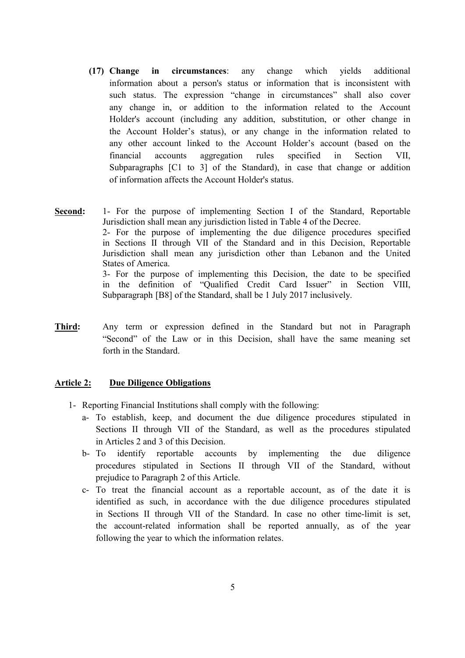- **(17) Change in circumstances**: any change which yields additional information about a person's status or information that is inconsistent with such status. The expression "change in circumstances" shall also cover any change in, or addition to the information related to the Account Holder's account (including any addition, substitution, or other change in the Account Holder's status), or any change in the information related to any other account linked to the Account Holder's account (based on the financial accounts aggregation rules specified in Section VII, Subparagraphs [C1 to 3] of the Standard), in case that change or addition of information affects the Account Holder's status.
- **Second:** 1- For the purpose of implementing Section I of the Standard, Reportable Jurisdiction shall mean any jurisdiction listed in Table 4 of the Decree. 2- For the purpose of implementing the due diligence procedures specified in Sections II through VII of the Standard and in this Decision, Reportable Jurisdiction shall mean any jurisdiction other than Lebanon and the United States of America. 3- For the purpose of implementing this Decision, the date to be specified in the definition of "Qualified Credit Card Issuer" in Section VIII, Subparagraph [B8] of the Standard, shall be 1 July 2017 inclusively.
- **Third:** Any term or expression defined in the Standard but not in Paragraph "Second" of the Law or in this Decision, shall have the same meaning set forth in the Standard.

## **Article 2: Due Diligence Obligations**

- 1- Reporting Financial Institutions shall comply with the following:
	- a- To establish, keep, and document the due diligence procedures stipulated in Sections II through VII of the Standard, as well as the procedures stipulated in Articles 2 and 3 of this Decision.
	- b- To identify reportable accounts by implementing the due diligence procedures stipulated in Sections II through VII of the Standard, without prejudice to Paragraph 2 of this Article.
	- c- To treat the financial account as a reportable account, as of the date it is identified as such, in accordance with the due diligence procedures stipulated in Sections II through VII of the Standard. In case no other time-limit is set, the account-related information shall be reported annually, as of the year following the year to which the information relates.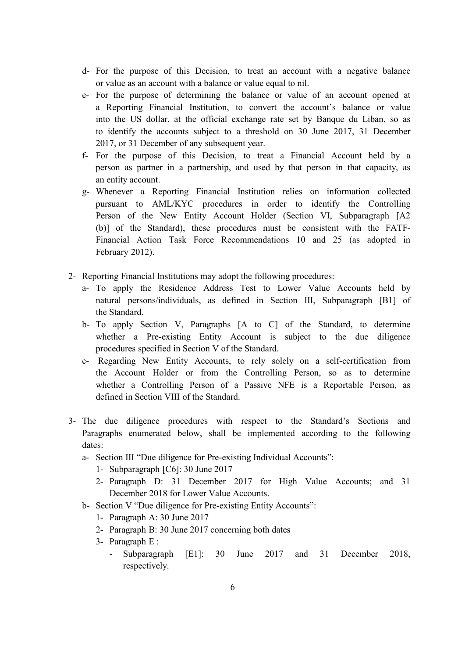- d- For the purpose of this Decision, to treat an account with a negative balance or value as an account with a balance or value equal to nil.
- e- For the purpose of determining the balance or value of an account opened at a Reporting Financial Institution, to convert the account's balance or value into the US dollar, at the official exchange rate set by Banque du Liban, so as to identify the accounts subject to a threshold on 30 June 2017, 31 December 2017, or 31 December of any subsequent year.
- f- For the purpose of this Decision, to treat a Financial Account held by a person as partner in a partnership, and used by that person in that capacity, as an entity account.
- g- Whenever a Reporting Financial Institution relies on information collected pursuant to AML/KYC procedures in order to identify the Controlling Person of the New Entity Account Holder (Section VI, Subparagraph [A2 (b)] of the Standard), these procedures must be consistent with the FATF-Financial Action Task Force Recommendations 10 and 25 (as adopted in February 2012).
- 2- Reporting Financial Institutions may adopt the following procedures:
	- a- To apply the Residence Address Test to Lower Value Accounts held by natural persons/individuals, as defined in Section III, Subparagraph [B1] of the Standard.
	- b- To apply Section V, Paragraphs [A to C] of the Standard, to determine whether a Pre-existing Entity Account is subject to the due diligence procedures specified in Section V of the Standard.
	- c- Regarding New Entity Accounts, to rely solely on a self-certification from the Account Holder or from the Controlling Person, so as to determine whether a Controlling Person of a Passive NFE is a Reportable Person, as defined in Section VIII of the Standard.
- 3- The due diligence procedures with respect to the Standard's Sections and Paragraphs enumerated below, shall be implemented according to the following dates:
	- a- Section III "Due diligence for Pre-existing Individual Accounts":
		- 1- Subparagraph [C6]: 30 June 2017
		- 2- Paragraph D: 31 December 2017 for High Value Accounts; and 31 December 2018 for Lower Value Accounts.
	- b- Section V "Due diligence for Pre-existing Entity Accounts":
		- 1- Paragraph A: 30 June 2017
		- 2- Paragraph B: 30 June 2017 concerning both dates
		- 3- Paragraph E :
			- Subparagraph [E1]: 30 June 2017 and 31 December 2018, respectively.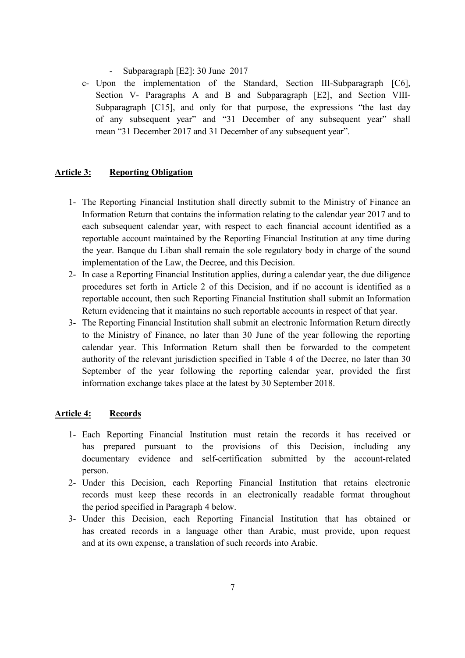- Subparagraph [E2]: 30 June 2017
- c- Upon the implementation of the Standard, Section III-Subparagraph [C6], Section V- Paragraphs A and B and Subparagraph [E2], and Section VIII-Subparagraph [C15], and only for that purpose, the expressions "the last day of any subsequent year" and "31 December of any subsequent year" shall mean "31 December 2017 and 31 December of any subsequent year".

## **Article 3: Reporting Obligation**

- 1- The Reporting Financial Institution shall directly submit to the Ministry of Finance an Information Return that contains the information relating to the calendar year 2017 and to each subsequent calendar year, with respect to each financial account identified as a reportable account maintained by the Reporting Financial Institution at any time during the year. Banque du Liban shall remain the sole regulatory body in charge of the sound implementation of the Law, the Decree, and this Decision.
- 2- In case a Reporting Financial Institution applies, during a calendar year, the due diligence procedures set forth in Article 2 of this Decision, and if no account is identified as a reportable account, then such Reporting Financial Institution shall submit an Information Return evidencing that it maintains no such reportable accounts in respect of that year.
- 3- The Reporting Financial Institution shall submit an electronic Information Return directly to the Ministry of Finance, no later than 30 June of the year following the reporting calendar year. This Information Return shall then be forwarded to the competent authority of the relevant jurisdiction specified in Table 4 of the Decree, no later than 30 September of the year following the reporting calendar year, provided the first information exchange takes place at the latest by 30 September 2018.

## **Article 4: Records**

- 1- Each Reporting Financial Institution must retain the records it has received or has prepared pursuant to the provisions of this Decision, including any documentary evidence and self-certification submitted by the account-related person.
- 2- Under this Decision, each Reporting Financial Institution that retains electronic records must keep these records in an electronically readable format throughout the period specified in Paragraph 4 below.
- 3- Under this Decision, each Reporting Financial Institution that has obtained or has created records in a language other than Arabic, must provide, upon request and at its own expense, a translation of such records into Arabic.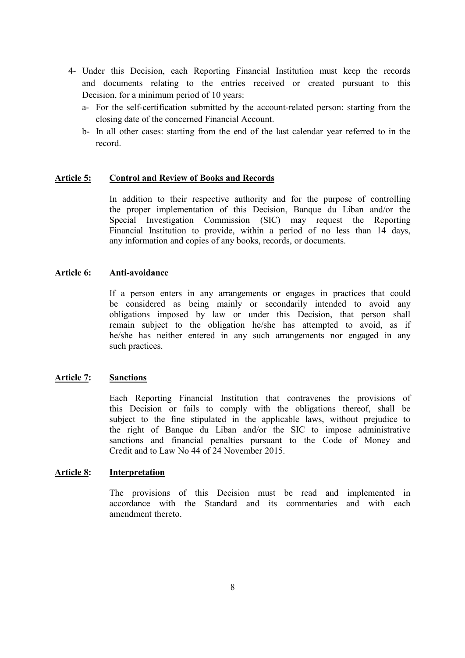- 4- Under this Decision, each Reporting Financial Institution must keep the records and documents relating to the entries received or created pursuant to this Decision, for a minimum period of 10 years:
	- a- For the self-certification submitted by the account-related person: starting from the closing date of the concerned Financial Account.
	- b- In all other cases: starting from the end of the last calendar year referred to in the record.

## **Article 5: Control and Review of Books and Records**

In addition to their respective authority and for the purpose of controlling the proper implementation of this Decision, Banque du Liban and/or the Special Investigation Commission (SIC) may request the Reporting Financial Institution to provide, within a period of no less than 14 days, any information and copies of any books, records, or documents.

## **Article 6: Anti-avoidance**

If a person enters in any arrangements or engages in practices that could be considered as being mainly or secondarily intended to avoid any obligations imposed by law or under this Decision, that person shall remain subject to the obligation he/she has attempted to avoid, as if he/she has neither entered in any such arrangements nor engaged in any such practices.

## **Article 7: Sanctions**

Each Reporting Financial Institution that contravenes the provisions of this Decision or fails to comply with the obligations thereof, shall be subject to the fine stipulated in the applicable laws, without prejudice to the right of Banque du Liban and/or the SIC to impose administrative sanctions and financial penalties pursuant to the Code of Money and Credit and to Law No 44 of 24 November 2015.

## **Article 8: Interpretation**

The provisions of this Decision must be read and implemented in accordance with the Standard and its commentaries and with each amendment thereto.